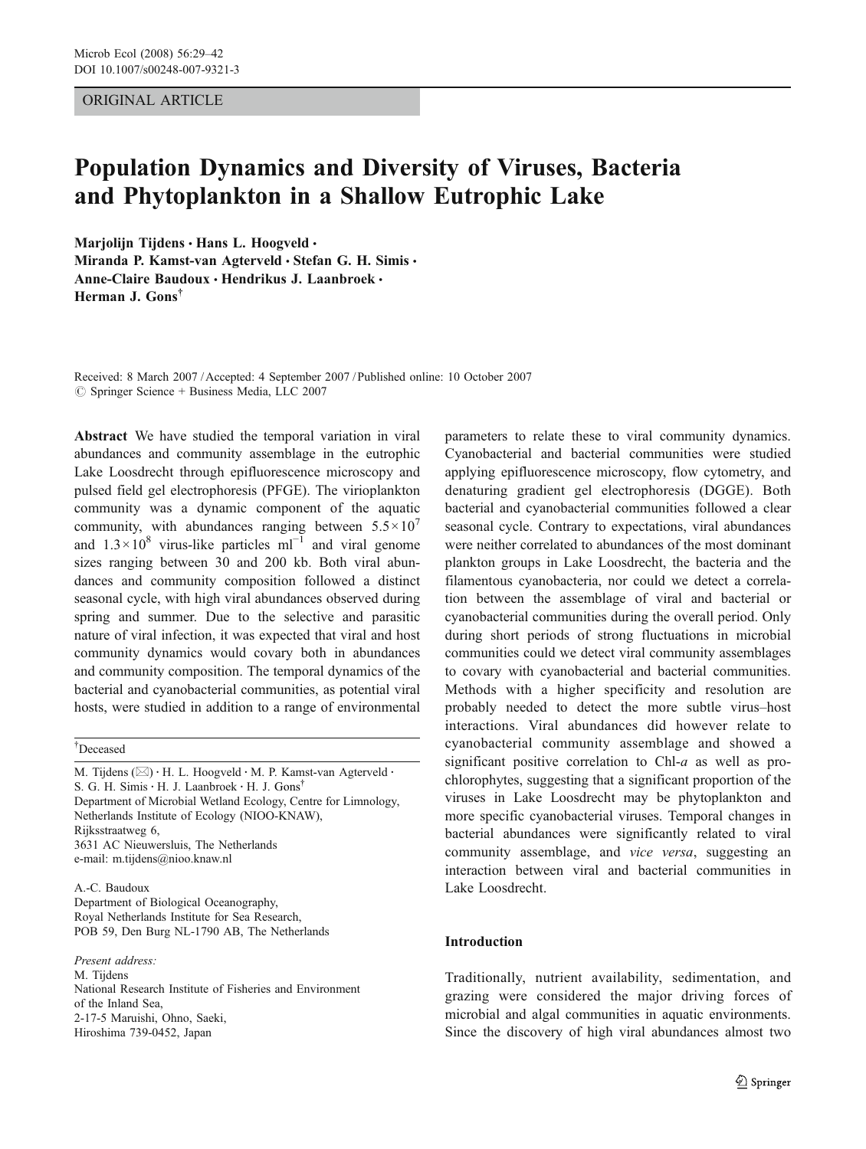## ORIGINAL ARTICLE

# Population Dynamics and Diversity of Viruses, Bacteria and Phytoplankton in a Shallow Eutrophic Lake

Marjolijn Tijdens · Hans L. Hoogveld · Miranda P. Kamst-van Agterveld · Stefan G. H. Simis · Anne-Claire Baudoux & Hendrikus J. Laanbroek & Herman J. Gons†

Received: 8 March 2007 /Accepted: 4 September 2007 / Published online: 10 October 2007  $\circledcirc$  Springer Science + Business Media, LLC 2007

Abstract We have studied the temporal variation in viral abundances and community assemblage in the eutrophic Lake Loosdrecht through epifluorescence microscopy and pulsed field gel electrophoresis (PFGE). The virioplankton community was a dynamic component of the aquatic community, with abundances ranging between  $5.5 \times 10^7$ and  $1.3 \times 10^8$  virus-like particles ml<sup>-1</sup> and viral genome sizes ranging between 30 and 200 kb. Both viral abundances and community composition followed a distinct seasonal cycle, with high viral abundances observed during spring and summer. Due to the selective and parasitic nature of viral infection, it was expected that viral and host community dynamics would covary both in abundances and community composition. The temporal dynamics of the bacterial and cyanobacterial communities, as potential viral hosts, were studied in addition to a range of environmental

† Deceased

M. Tijdens ( $\boxtimes$ ) · H. L. Hoogveld · M. P. Kamst-van Agterveld · S. G. H. Simis  $\cdot$  H. J. Laanbroek  $\cdot$  H. J. Gons<sup>†</sup> Department of Microbial Wetland Ecology, Centre for Limnology, Netherlands Institute of Ecology (NIOO-KNAW), Rijksstraatweg 6, 3631 AC Nieuwersluis, The Netherlands e-mail: m.tijdens@nioo.knaw.nl

A.-C. Baudoux Department of Biological Oceanography, Royal Netherlands Institute for Sea Research, POB 59, Den Burg NL-1790 AB, The Netherlands

Present address: M. Tijdens National Research Institute of Fisheries and Environment of the Inland Sea, 2-17-5 Maruishi, Ohno, Saeki, Hiroshima 739-0452, Japan

parameters to relate these to viral community dynamics. Cyanobacterial and bacterial communities were studied applying epifluorescence microscopy, flow cytometry, and denaturing gradient gel electrophoresis (DGGE). Both bacterial and cyanobacterial communities followed a clear seasonal cycle. Contrary to expectations, viral abundances were neither correlated to abundances of the most dominant plankton groups in Lake Loosdrecht, the bacteria and the filamentous cyanobacteria, nor could we detect a correlation between the assemblage of viral and bacterial or cyanobacterial communities during the overall period. Only during short periods of strong fluctuations in microbial communities could we detect viral community assemblages to covary with cyanobacterial and bacterial communities. Methods with a higher specificity and resolution are probably needed to detect the more subtle virus–host interactions. Viral abundances did however relate to cyanobacterial community assemblage and showed a significant positive correlation to Chl-a as well as prochlorophytes, suggesting that a significant proportion of the viruses in Lake Loosdrecht may be phytoplankton and more specific cyanobacterial viruses. Temporal changes in bacterial abundances were significantly related to viral community assemblage, and vice versa, suggesting an interaction between viral and bacterial communities in Lake Loosdrecht.

# Introduction

Traditionally, nutrient availability, sedimentation, and grazing were considered the major driving forces of microbial and algal communities in aquatic environments. Since the discovery of high viral abundances almost two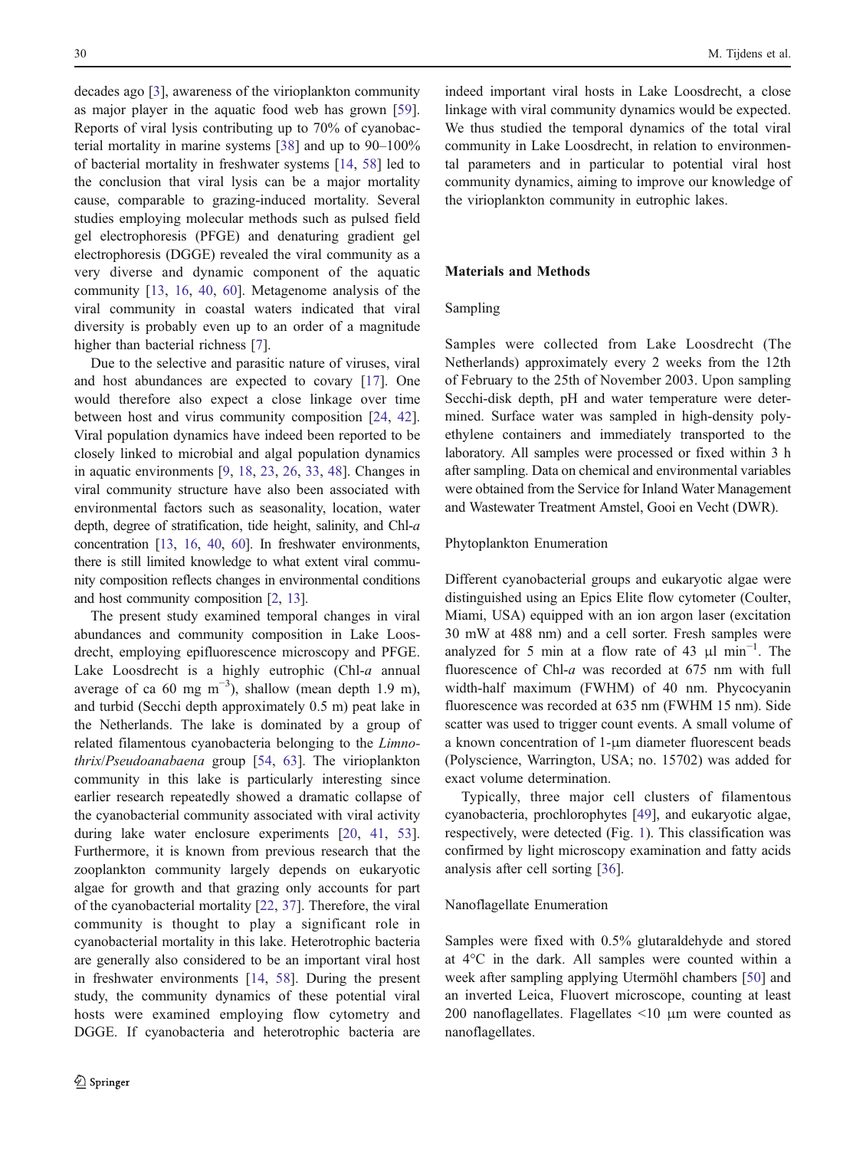decades ago [\[3](#page-12-0)], awareness of the virioplankton community as major player in the aquatic food web has grown [\[59](#page-13-0)]. Reports of viral lysis contributing up to 70% of cyanobacterial mortality in marine systems [[38\]](#page-13-0) and up to 90–100% of bacterial mortality in freshwater systems [\[14](#page-12-0), [58](#page-13-0)] led to the conclusion that viral lysis can be a major mortality cause, comparable to grazing-induced mortality. Several studies employing molecular methods such as pulsed field gel electrophoresis (PFGE) and denaturing gradient gel electrophoresis (DGGE) revealed the viral community as a very diverse and dynamic component of the aquatic community [\[13](#page-12-0), [16](#page-12-0), [40,](#page-13-0) [60](#page-13-0)]. Metagenome analysis of the viral community in coastal waters indicated that viral diversity is probably even up to an order of a magnitude higher than bacterial richness [[7\]](#page-12-0).

Due to the selective and parasitic nature of viruses, viral and host abundances are expected to covary [\[17](#page-12-0)]. One would therefore also expect a close linkage over time between host and virus community composition [[24,](#page-12-0) [42](#page-13-0)]. Viral population dynamics have indeed been reported to be closely linked to microbial and algal population dynamics in aquatic environments [\[9](#page-12-0), [18,](#page-12-0) [23](#page-12-0), [26,](#page-12-0) [33](#page-12-0), [48\]](#page-13-0). Changes in viral community structure have also been associated with environmental factors such as seasonality, location, water depth, degree of stratification, tide height, salinity, and Chl-a concentration [[13](#page-12-0), [16,](#page-12-0) [40](#page-13-0), [60\]](#page-13-0). In freshwater environments, there is still limited knowledge to what extent viral community composition reflects changes in environmental conditions and host community composition [[2,](#page-12-0) [13\]](#page-12-0).

The present study examined temporal changes in viral abundances and community composition in Lake Loosdrecht, employing epifluorescence microscopy and PFGE. Lake Loosdrecht is a highly eutrophic  $(Ch1-a)$  annual average of ca 60 mg m<sup>-3</sup>), shallow (mean depth 1.9 m), and turbid (Secchi depth approximately 0.5 m) peat lake in the Netherlands. The lake is dominated by a group of related filamentous cyanobacteria belonging to the Limnothrix/Pseudoanabaena group [\[54](#page-13-0), [63\]](#page-13-0). The virioplankton community in this lake is particularly interesting since earlier research repeatedly showed a dramatic collapse of the cyanobacterial community associated with viral activity during lake water enclosure experiments [[20,](#page-12-0) [41,](#page-13-0) [53](#page-13-0)]. Furthermore, it is known from previous research that the zooplankton community largely depends on eukaryotic algae for growth and that grazing only accounts for part of the cyanobacterial mortality [[22,](#page-12-0) [37](#page-13-0)]. Therefore, the viral community is thought to play a significant role in cyanobacterial mortality in this lake. Heterotrophic bacteria are generally also considered to be an important viral host in freshwater environments [\[14](#page-12-0), [58\]](#page-13-0). During the present study, the community dynamics of these potential viral hosts were examined employing flow cytometry and DGGE. If cyanobacteria and heterotrophic bacteria are

indeed important viral hosts in Lake Loosdrecht, a close linkage with viral community dynamics would be expected. We thus studied the temporal dynamics of the total viral community in Lake Loosdrecht, in relation to environmental parameters and in particular to potential viral host community dynamics, aiming to improve our knowledge of the virioplankton community in eutrophic lakes.

# Materials and Methods

#### Sampling

Samples were collected from Lake Loosdrecht (The Netherlands) approximately every 2 weeks from the 12th of February to the 25th of November 2003. Upon sampling Secchi-disk depth, pH and water temperature were determined. Surface water was sampled in high-density polyethylene containers and immediately transported to the laboratory. All samples were processed or fixed within 3 h after sampling. Data on chemical and environmental variables were obtained from the Service for Inland Water Management and Wastewater Treatment Amstel, Gooi en Vecht (DWR).

#### Phytoplankton Enumeration

Different cyanobacterial groups and eukaryotic algae were distinguished using an Epics Elite flow cytometer (Coulter, Miami, USA) equipped with an ion argon laser (excitation 30 mW at 488 nm) and a cell sorter. Fresh samples were analyzed for 5 min at a flow rate of 43  $\mu$ l min<sup>-1</sup>. The fluorescence of Chl-a was recorded at 675 nm with full width-half maximum (FWHM) of 40 nm. Phycocyanin fluorescence was recorded at 635 nm (FWHM 15 nm). Side scatter was used to trigger count events. A small volume of a known concentration of 1-μm diameter fluorescent beads (Polyscience, Warrington, USA; no. 15702) was added for exact volume determination.

Typically, three major cell clusters of filamentous cyanobacteria, prochlorophytes [\[49](#page-13-0)], and eukaryotic algae, respectively, were detected (Fig. [1](#page-2-0)). This classification was confirmed by light microscopy examination and fatty acids analysis after cell sorting [[36\]](#page-13-0).

#### Nanoflagellate Enumeration

Samples were fixed with 0.5% glutaraldehyde and stored at 4°C in the dark. All samples were counted within a week after sampling applying Utermöhl chambers [[50\]](#page-13-0) and an inverted Leica, Fluovert microscope, counting at least 200 nanoflagellates. Flagellates <10 μm were counted as nanoflagellates.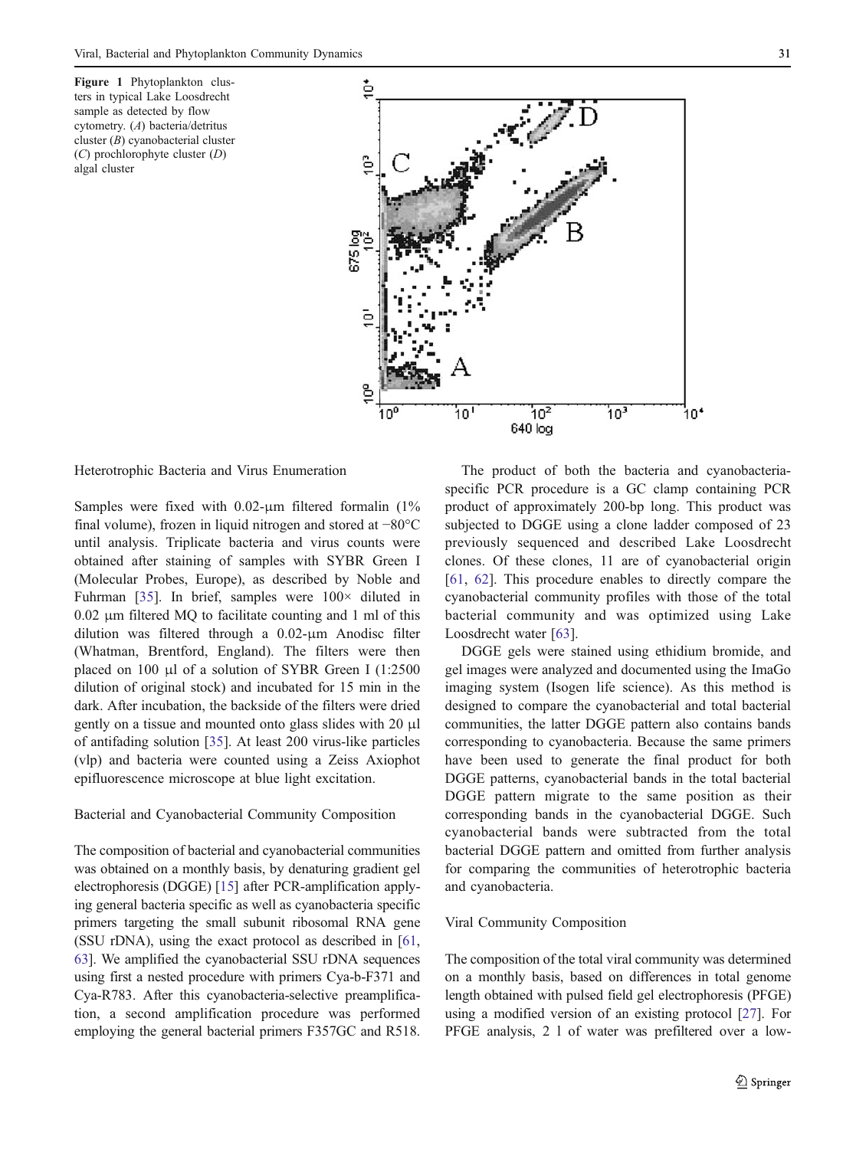<span id="page-2-0"></span>Figure 1 Phytoplankton clusters in typical Lake Loosdrecht sample as detected by flow cytometry. (A) bacteria/detritus cluster (B) cyanobacterial cluster (C) prochlorophyte cluster (D) algal cluster



Heterotrophic Bacteria and Virus Enumeration

Samples were fixed with 0.02-μm filtered formalin (1% final volume), frozen in liquid nitrogen and stored at −80°C until analysis. Triplicate bacteria and virus counts were obtained after staining of samples with SYBR Green I (Molecular Probes, Europe), as described by Noble and Fuhrman [[35\]](#page-12-0). In brief, samples were  $100 \times$  diluted in 0.02 μm filtered MQ to facilitate counting and 1 ml of this dilution was filtered through a 0.02-μm Anodisc filter (Whatman, Brentford, England). The filters were then placed on 100 μl of a solution of SYBR Green I (1:2500 dilution of original stock) and incubated for 15 min in the dark. After incubation, the backside of the filters were dried gently on a tissue and mounted onto glass slides with 20 μl of antifading solution [[35\]](#page-12-0). At least 200 virus-like particles (vlp) and bacteria were counted using a Zeiss Axiophot epifluorescence microscope at blue light excitation.

# Bacterial and Cyanobacterial Community Composition

The composition of bacterial and cyanobacterial communities was obtained on a monthly basis, by denaturing gradient gel electrophoresis (DGGE) [\[15](#page-12-0)] after PCR-amplification applying general bacteria specific as well as cyanobacteria specific primers targeting the small subunit ribosomal RNA gene (SSU rDNA), using the exact protocol as described in [[61,](#page-13-0) [63\]](#page-13-0). We amplified the cyanobacterial SSU rDNA sequences using first a nested procedure with primers Cya-b-F371 and Cya-R783. After this cyanobacteria-selective preamplification, a second amplification procedure was performed employing the general bacterial primers F357GC and R518.

The product of both the bacteria and cyanobacteriaspecific PCR procedure is a GC clamp containing PCR product of approximately 200-bp long. This product was subjected to DGGE using a clone ladder composed of 23 previously sequenced and described Lake Loosdrecht clones. Of these clones, 11 are of cyanobacterial origin [\[61](#page-13-0), [62](#page-13-0)]. This procedure enables to directly compare the cyanobacterial community profiles with those of the total bacterial community and was optimized using Lake Loosdrecht water [\[63](#page-13-0)].

DGGE gels were stained using ethidium bromide, and gel images were analyzed and documented using the ImaGo imaging system (Isogen life science). As this method is designed to compare the cyanobacterial and total bacterial communities, the latter DGGE pattern also contains bands corresponding to cyanobacteria. Because the same primers have been used to generate the final product for both DGGE patterns, cyanobacterial bands in the total bacterial DGGE pattern migrate to the same position as their corresponding bands in the cyanobacterial DGGE. Such cyanobacterial bands were subtracted from the total bacterial DGGE pattern and omitted from further analysis for comparing the communities of heterotrophic bacteria and cyanobacteria.

#### Viral Community Composition

The composition of the total viral community was determined on a monthly basis, based on differences in total genome length obtained with pulsed field gel electrophoresis (PFGE) using a modified version of an existing protocol [[27\]](#page-12-0). For PFGE analysis, 2 l of water was prefiltered over a low-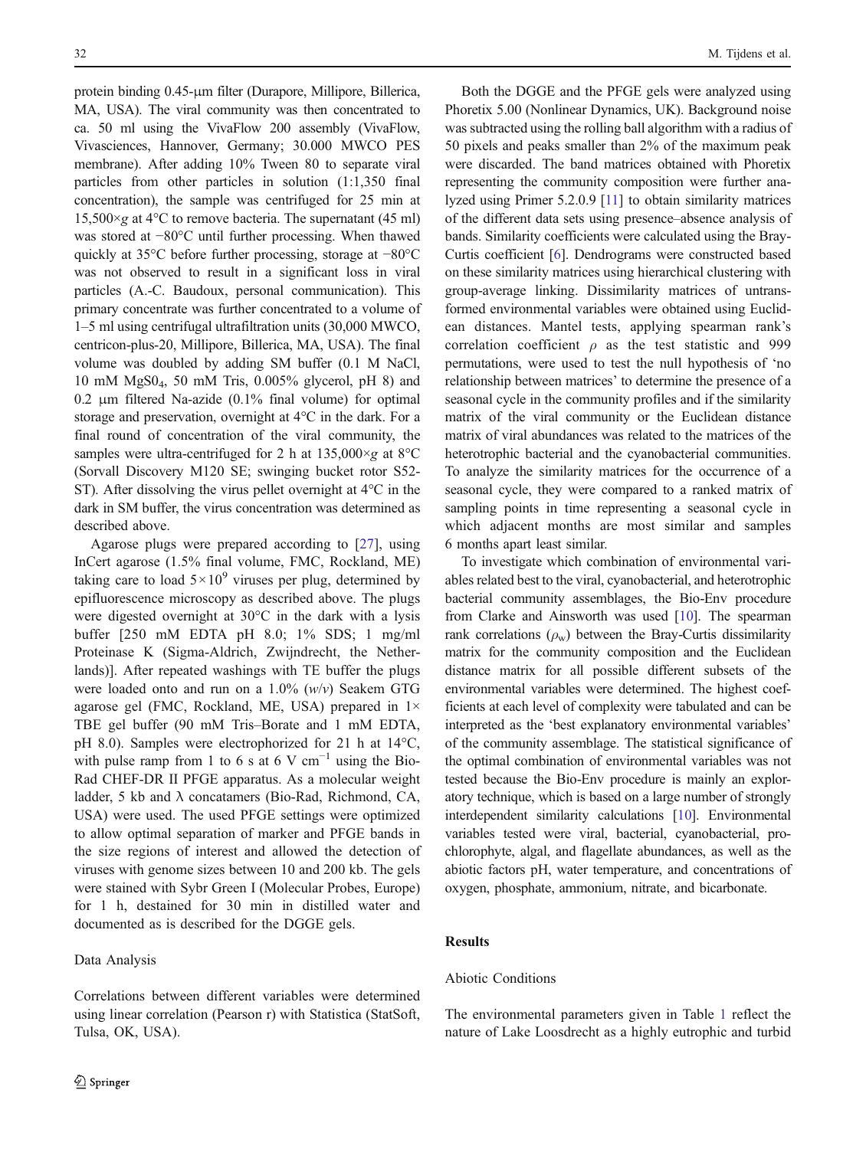protein binding 0.45-μm filter (Durapore, Millipore, Billerica, MA, USA). The viral community was then concentrated to ca. 50 ml using the VivaFlow 200 assembly (VivaFlow, Vivasciences, Hannover, Germany; 30.000 MWCO PES membrane). After adding 10% Tween 80 to separate viral particles from other particles in solution (1:1,350 final concentration), the sample was centrifuged for 25 min at  $15,500 \times g$  at 4<sup>o</sup>C to remove bacteria. The supernatant (45 ml) was stored at −80°C until further processing. When thawed quickly at 35°C before further processing, storage at −80°C was not observed to result in a significant loss in viral particles (A.-C. Baudoux, personal communication). This primary concentrate was further concentrated to a volume of 1–5 ml using centrifugal ultrafiltration units (30,000 MWCO, centricon-plus-20, Millipore, Billerica, MA, USA). The final volume was doubled by adding SM buffer (0.1 M NaCl, 10 mM MgS04, 50 mM Tris, 0.005% glycerol, pH 8) and 0.2 μm filtered Na-azide (0.1% final volume) for optimal storage and preservation, overnight at 4°C in the dark. For a final round of concentration of the viral community, the samples were ultra-centrifuged for 2 h at  $135,000 \times g$  at  $8^{\circ}$ C (Sorvall Discovery M120 SE; swinging bucket rotor S52- ST). After dissolving the virus pellet overnight at 4°C in the dark in SM buffer, the virus concentration was determined as described above.

Agarose plugs were prepared according to [\[27](#page-12-0)], using InCert agarose (1.5% final volume, FMC, Rockland, ME) taking care to load  $5 \times 10^9$  viruses per plug, determined by epifluorescence microscopy as described above. The plugs were digested overnight at 30°C in the dark with a lysis buffer [250 mM EDTA pH 8.0; 1% SDS; 1 mg/ml Proteinase K (Sigma-Aldrich, Zwijndrecht, the Netherlands)]. After repeated washings with TE buffer the plugs were loaded onto and run on a 1.0% (w/v) Seakem GTG agarose gel (FMC, Rockland, ME, USA) prepared in  $1 \times$ TBE gel buffer (90 mM Tris–Borate and 1 mM EDTA, pH 8.0). Samples were electrophorized for 21 h at 14°C, with pulse ramp from 1 to 6 s at 6 V cm<sup>-1</sup> using the Bio-Rad CHEF-DR II PFGE apparatus. As a molecular weight ladder, 5 kb and  $\lambda$  concatamers (Bio-Rad, Richmond, CA, USA) were used. The used PFGE settings were optimized to allow optimal separation of marker and PFGE bands in the size regions of interest and allowed the detection of viruses with genome sizes between 10 and 200 kb. The gels were stained with Sybr Green I (Molecular Probes, Europe) for 1 h, destained for 30 min in distilled water and documented as is described for the DGGE gels.

## Data Analysis

Correlations between different variables were determined using linear correlation (Pearson r) with Statistica (StatSoft, Tulsa, OK, USA).

Both the DGGE and the PFGE gels were analyzed using Phoretix 5.00 (Nonlinear Dynamics, UK). Background noise was subtracted using the rolling ball algorithm with a radius of 50 pixels and peaks smaller than 2% of the maximum peak were discarded. The band matrices obtained with Phoretix representing the community composition were further analyzed using Primer 5.2.0.9 [\[11\]](#page-12-0) to obtain similarity matrices of the different data sets using presence–absence analysis of bands. Similarity coefficients were calculated using the Bray-Curtis coefficient [\[6\]](#page-12-0). Dendrograms were constructed based on these similarity matrices using hierarchical clustering with group-average linking. Dissimilarity matrices of untransformed environmental variables were obtained using Euclidean distances. Mantel tests, applying spearman rank's correlation coefficient  $\rho$  as the test statistic and 999 permutations, were used to test the null hypothesis of 'no relationship between matrices' to determine the presence of a seasonal cycle in the community profiles and if the similarity matrix of the viral community or the Euclidean distance matrix of viral abundances was related to the matrices of the heterotrophic bacterial and the cyanobacterial communities. To analyze the similarity matrices for the occurrence of a seasonal cycle, they were compared to a ranked matrix of sampling points in time representing a seasonal cycle in which adjacent months are most similar and samples 6 months apart least similar.

To investigate which combination of environmental variables related best to the viral, cyanobacterial, and heterotrophic bacterial community assemblages, the Bio-Env procedure from Clarke and Ainsworth was used [\[10\]](#page-12-0). The spearman rank correlations  $(\rho_w)$  between the Bray-Curtis dissimilarity matrix for the community composition and the Euclidean distance matrix for all possible different subsets of the environmental variables were determined. The highest coefficients at each level of complexity were tabulated and can be interpreted as the 'best explanatory environmental variables' of the community assemblage. The statistical significance of the optimal combination of environmental variables was not tested because the Bio-Env procedure is mainly an exploratory technique, which is based on a large number of strongly interdependent similarity calculations [\[10\]](#page-12-0). Environmental variables tested were viral, bacterial, cyanobacterial, prochlorophyte, algal, and flagellate abundances, as well as the abiotic factors pH, water temperature, and concentrations of oxygen, phosphate, ammonium, nitrate, and bicarbonate.

# Results

# Abiotic Conditions

The environmental parameters given in Table [1](#page-4-0) reflect the nature of Lake Loosdrecht as a highly eutrophic and turbid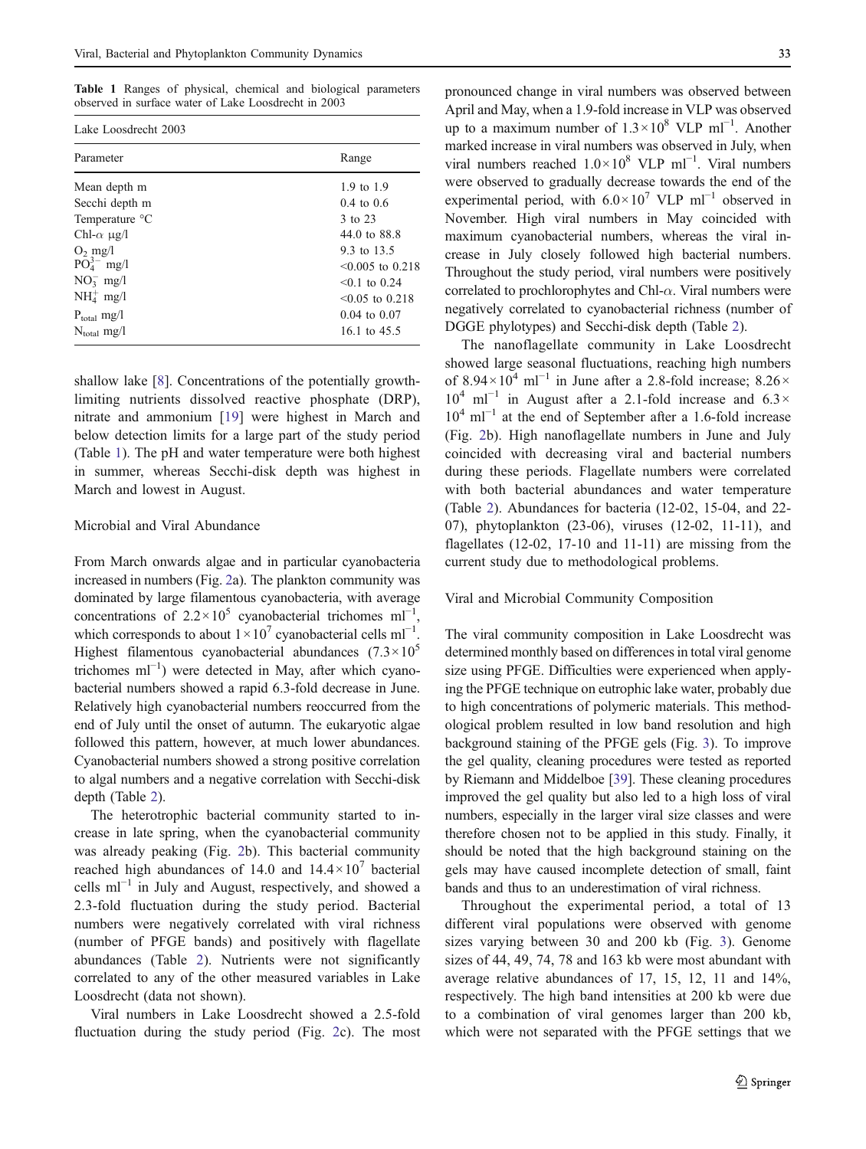<span id="page-4-0"></span>Table 1 Ranges of physical, chemical and biological parameters observed in surface water of Lake Loosdrecht in 2003

| Lake Loosdrecht 2003 |                       |  |  |  |  |
|----------------------|-----------------------|--|--|--|--|
| Parameter            | Range                 |  |  |  |  |
| Mean depth m         | 1.9 to 1.9            |  |  |  |  |
| Secchi depth m       | $0.4 \text{ to } 0.6$ |  |  |  |  |
| Temperature °C       | 3 to 23               |  |  |  |  |
| Chl- $\alpha$ µg/l   | 44.0 to 88.8          |  |  |  |  |
| $O_2$ mg/l           | 9.3 to 13.5           |  |  |  |  |
| $PO_{4}^{3-}$ mg/l   | $\leq 0.005$ to 0.218 |  |  |  |  |
| $NO_3^-$ mg/l        | $< 0.1$ to 0.24       |  |  |  |  |
| $NH4+ mg/l$          | $\leq 0.05$ to 0.218  |  |  |  |  |
| $P_{total}$ mg/l     | $0.04$ to $0.07$      |  |  |  |  |
| $N_{total}$ mg/l     | 16.1 to 45.5          |  |  |  |  |

shallow lake [\[8](#page-12-0)]. Concentrations of the potentially growthlimiting nutrients dissolved reactive phosphate (DRP), nitrate and ammonium [\[19](#page-12-0)] were highest in March and below detection limits for a large part of the study period (Table 1). The pH and water temperature were both highest in summer, whereas Secchi-disk depth was highest in March and lowest in August.

## Microbial and Viral Abundance

From March onwards algae and in particular cyanobacteria increased in numbers (Fig. [2](#page-5-0)a). The plankton community was dominated by large filamentous cyanobacteria, with average concentrations of  $2.2 \times 10^5$  cyanobacterial trichomes ml<sup>-1</sup>, which corresponds to about  $1 \times 10^7$  cyanobacterial cells ml<sup>-1</sup>. Highest filamentous cyanobacterial abundances  $(7.3 \times 10^5$ trichomes ml−<sup>1</sup> ) were detected in May, after which cyanobacterial numbers showed a rapid 6.3-fold decrease in June. Relatively high cyanobacterial numbers reoccurred from the end of July until the onset of autumn. The eukaryotic algae followed this pattern, however, at much lower abundances. Cyanobacterial numbers showed a strong positive correlation to algal numbers and a negative correlation with Secchi-disk depth (Table [2\)](#page-5-0).

The heterotrophic bacterial community started to increase in late spring, when the cyanobacterial community was already peaking (Fig. [2b](#page-5-0)). This bacterial community reached high abundances of 14.0 and  $14.4 \times 10^7$  bacterial cells ml<sup> $-1$ </sup> in July and August, respectively, and showed a 2.3-fold fluctuation during the study period. Bacterial numbers were negatively correlated with viral richness (number of PFGE bands) and positively with flagellate abundances (Table [2](#page-5-0)). Nutrients were not significantly correlated to any of the other measured variables in Lake Loosdrecht (data not shown).

Viral numbers in Lake Loosdrecht showed a 2.5-fold fluctuation during the study period (Fig. [2c](#page-5-0)). The most

pronounced change in viral numbers was observed between April and May, when a 1.9-fold increase in VLP was observed up to a maximum number of  $1.3 \times 10^8$  VLP ml<sup>-1</sup>. Another marked increase in viral numbers was observed in July, when viral numbers reached  $1.0 \times 10^8$  VLP ml<sup>-1</sup>. Viral numbers were observed to gradually decrease towards the end of the experimental period, with  $6.0 \times 10^7$  VLP ml<sup>-1</sup> observed in November. High viral numbers in May coincided with maximum cyanobacterial numbers, whereas the viral increase in July closely followed high bacterial numbers. Throughout the study period, viral numbers were positively correlated to prochlorophytes and Chl- $\alpha$ . Viral numbers were negatively correlated to cyanobacterial richness (number of DGGE phylotypes) and Secchi-disk depth (Table [2\)](#page-5-0).

The nanoflagellate community in Lake Loosdrecht showed large seasonal fluctuations, reaching high numbers of  $8.94 \times 10^4$  ml<sup>-1</sup> in June after a 2.8-fold increase;  $8.26 \times$ 10<sup>4</sup> ml−<sup>1</sup> in August after a 2.1-fold increase and 6.3× 10<sup>4</sup> ml−<sup>1</sup> at the end of September after a 1.6-fold increase (Fig. [2b](#page-5-0)). High nanoflagellate numbers in June and July coincided with decreasing viral and bacterial numbers during these periods. Flagellate numbers were correlated with both bacterial abundances and water temperature (Table [2\)](#page-5-0). Abundances for bacteria (12-02, 15-04, and 22- 07), phytoplankton (23-06), viruses (12-02, 11-11), and flagellates (12-02, 17-10 and 11-11) are missing from the current study due to methodological problems.

### Viral and Microbial Community Composition

The viral community composition in Lake Loosdrecht was determined monthly based on differences in total viral genome size using PFGE. Difficulties were experienced when applying the PFGE technique on eutrophic lake water, probably due to high concentrations of polymeric materials. This methodological problem resulted in low band resolution and high background staining of the PFGE gels (Fig. [3](#page-6-0)). To improve the gel quality, cleaning procedures were tested as reported by Riemann and Middelboe [\[39\]](#page-13-0). These cleaning procedures improved the gel quality but also led to a high loss of viral numbers, especially in the larger viral size classes and were therefore chosen not to be applied in this study. Finally, it should be noted that the high background staining on the gels may have caused incomplete detection of small, faint bands and thus to an underestimation of viral richness.

Throughout the experimental period, a total of 13 different viral populations were observed with genome sizes varying between 30 and 200 kb (Fig. [3](#page-6-0)). Genome sizes of 44, 49, 74, 78 and 163 kb were most abundant with average relative abundances of 17, 15, 12, 11 and 14%, respectively. The high band intensities at 200 kb were due to a combination of viral genomes larger than 200 kb, which were not separated with the PFGE settings that we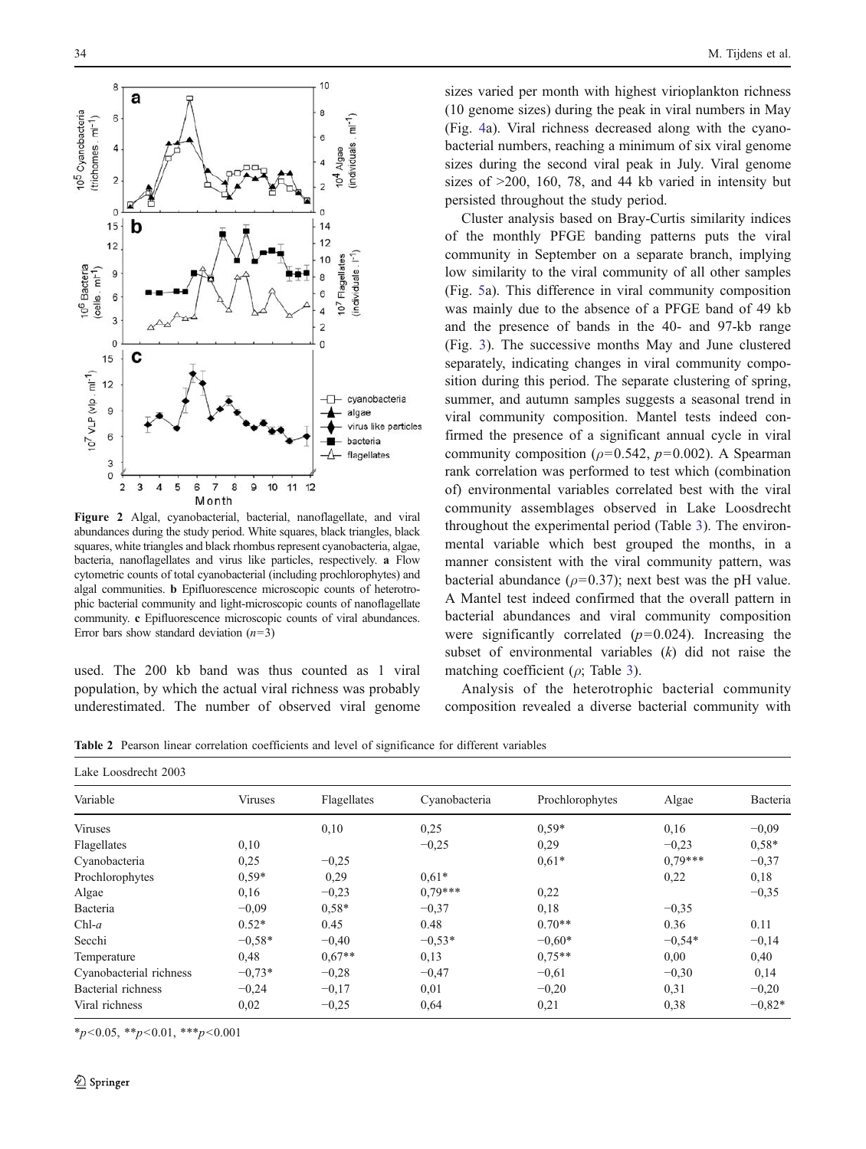<span id="page-5-0"></span>

Figure 2 Algal, cyanobacterial, bacterial, nanoflagellate, and viral abundances during the study period. White squares, black triangles, black squares, white triangles and black rhombus represent cyanobacteria, algae, bacteria, nanoflagellates and virus like particles, respectively. a Flow cytometric counts of total cyanobacterial (including prochlorophytes) and algal communities. b Epifluorescence microscopic counts of heterotrophic bacterial community and light-microscopic counts of nanoflagellate community. c Epifluorescence microscopic counts of viral abundances. Error bars show standard deviation  $(n=3)$ 

used. The 200 kb band was thus counted as 1 viral population, by which the actual viral richness was probably underestimated. The number of observed viral genome sizes varied per month with highest virioplankton richness (10 genome sizes) during the peak in viral numbers in May (Fig. [4](#page-7-0)a). Viral richness decreased along with the cyanobacterial numbers, reaching a minimum of six viral genome sizes during the second viral peak in July. Viral genome sizes of >200, 160, 78, and 44 kb varied in intensity but persisted throughout the study period.

Cluster analysis based on Bray-Curtis similarity indices of the monthly PFGE banding patterns puts the viral community in September on a separate branch, implying low similarity to the viral community of all other samples (Fig. [5a](#page-8-0)). This difference in viral community composition was mainly due to the absence of a PFGE band of 49 kb and the presence of bands in the 40- and 97-kb range (Fig. [3\)](#page-6-0). The successive months May and June clustered separately, indicating changes in viral community composition during this period. The separate clustering of spring, summer, and autumn samples suggests a seasonal trend in viral community composition. Mantel tests indeed confirmed the presence of a significant annual cycle in viral community composition ( $\rho$ =0.542,  $p$ =0.002). A Spearman rank correlation was performed to test which (combination of) environmental variables correlated best with the viral community assemblages observed in Lake Loosdrecht throughout the experimental period (Table [3\)](#page-9-0). The environmental variable which best grouped the months, in a manner consistent with the viral community pattern, was bacterial abundance ( $\rho$ =0.37); next best was the pH value. A Mantel test indeed confirmed that the overall pattern in bacterial abundances and viral community composition were significantly correlated  $(p=0.024)$ . Increasing the subset of environmental variables  $(k)$  did not raise the matching coefficient ( $\rho$ ; Table [3\)](#page-9-0).

Analysis of the heterotrophic bacterial community composition revealed a diverse bacterial community with

Table 2 Pearson linear correlation coefficients and level of significance for different variables

| Lake Loosdrecht 2003    |                |             |               |                 |           |          |  |
|-------------------------|----------------|-------------|---------------|-----------------|-----------|----------|--|
| Variable                | <b>Viruses</b> | Flagellates | Cyanobacteria | Prochlorophytes | Algae     | Bacteria |  |
| <b>Viruses</b>          |                | 0,10        | 0,25          | $0.59*$         | 0,16      | $-0.09$  |  |
| Flagellates             | 0,10           |             | $-0.25$       | 0,29            | $-0.23$   | $0,58*$  |  |
| Cyanobacteria           | 0,25           | $-0.25$     |               | $0.61*$         | $0,79***$ | $-0.37$  |  |
| Prochlorophytes         | $0.59*$        | 0,29        | $0.61*$       |                 | 0,22      | 0,18     |  |
| Algae                   | 0,16           | $-0,23$     | $0.79***$     | 0,22            |           | $-0,35$  |  |
| Bacteria                | $-0.09$        | $0.58*$     | $-0.37$       | 0,18            | $-0,35$   |          |  |
| $Chl-a$                 | $0.52*$        | 0.45        | 0.48          | $0.70**$        | 0.36      | 0.11     |  |
| Secchi                  | $-0.58*$       | $-0,40$     | $-0.53*$      | $-0.60*$        | $-0.54*$  | $-0,14$  |  |
| Temperature             | 0,48           | $0.67**$    | 0,13          | $0.75**$        | 0,00      | 0,40     |  |
| Cyanobacterial richness | $-0.73*$       | $-0,28$     | $-0.47$       | $-0,61$         | $-0,30$   | 0,14     |  |
| Bacterial richness      | $-0,24$        | $-0.17$     | 0,01          | $-0,20$         | 0,31      | $-0,20$  |  |
| Viral richness          | 0,02           | $-0.25$     | 0.64          | 0,21            | 0.38      | $-0.82*$ |  |

 $*_{p<0.05}$ ,  $*_{p<0.01}$ ,  $*_{p<0.001}$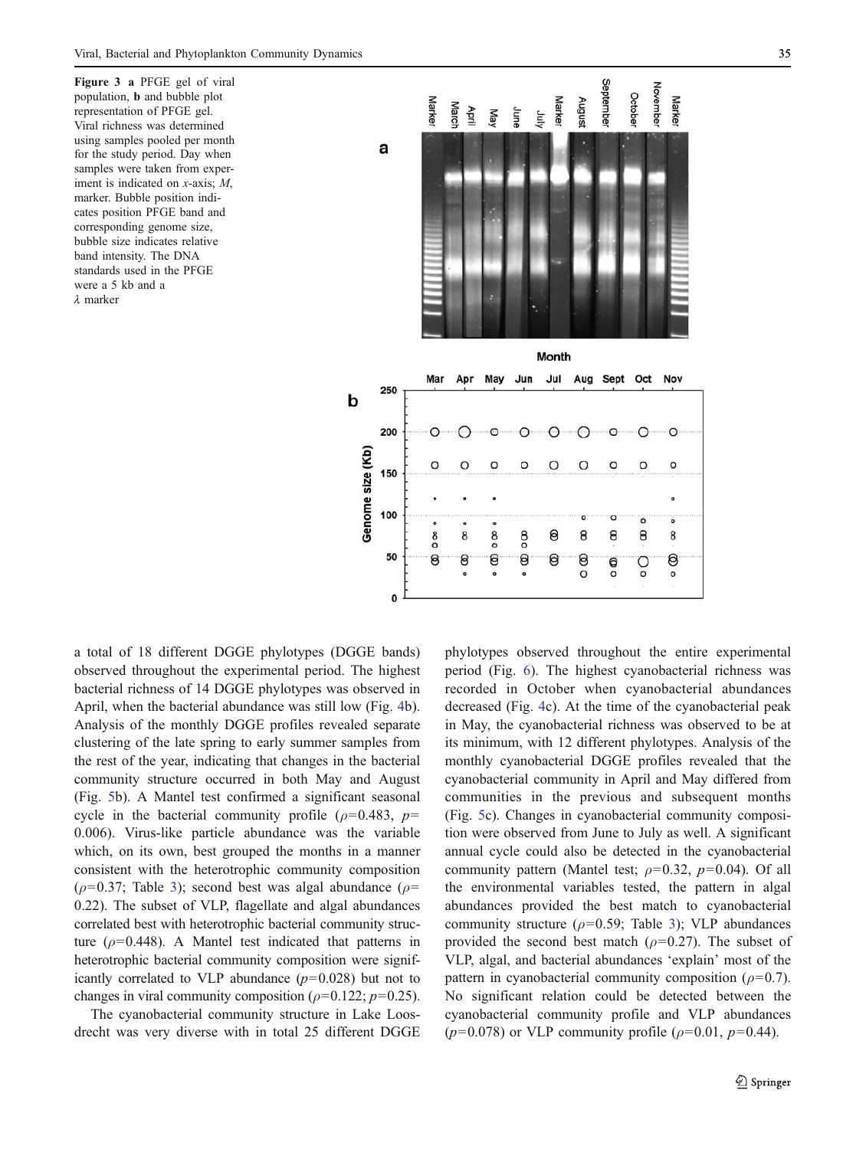<span id="page-6-0"></span>Figure 3 a PFGE gel of viral population, b and bubble plot representation of PFGE gel. Viral richness was determined using samples pooled per month for the study period. Day when samples were taken from experiment is indicated on x-axis; M, marker. Bubble position indicates position PFGE band and corresponding genome size, bubble size indicates relative band intensity. The DNA standards used in the PFGE were a 5 kb and a  $\lambda$  marker



0

a total of 18 different DGGE phylotypes (DGGE bands) observed throughout the experimental period. The highest bacterial richness of 14 DGGE phylotypes was observed in April, when the bacterial abundance was still low (Fig. [4](#page-7-0)b). Analysis of the monthly DGGE profiles revealed separate clustering of the late spring to early summer samples from the rest of the year, indicating that changes in the bacterial community structure occurred in both May and August (Fig. [5](#page-8-0)b). A Mantel test confirmed a significant seasonal cycle in the bacterial community profile ( $\rho$ =0.483,  $p$ = 0.006). Virus-like particle abundance was the variable which, on its own, best grouped the months in a manner consistent with the heterotrophic community composition ( $\rho$ =0.[3](#page-9-0)7; Table 3); second best was algal abundance ( $\rho$ = 0.22). The subset of VLP, flagellate and algal abundances correlated best with heterotrophic bacterial community structure ( $\rho$ =0.448). A Mantel test indicated that patterns in heterotrophic bacterial community composition were significantly correlated to VLP abundance  $(p=0.028)$  but not to changes in viral community composition ( $\rho$ =0.122;  $p$ =0.25).

The cyanobacterial community structure in Lake Loosdrecht was very diverse with in total 25 different DGGE phylotypes observed throughout the entire experimental period (Fig. [6](#page-10-0)). The highest cyanobacterial richness was recorded in October when cyanobacterial abundances decreased (Fig. [4c](#page-7-0)). At the time of the cyanobacterial peak in May, the cyanobacterial richness was observed to be at its minimum, with 12 different phylotypes. Analysis of the monthly cyanobacterial DGGE profiles revealed that the cyanobacterial community in April and May differed from communities in the previous and subsequent months (Fig. [5c](#page-8-0)). Changes in cyanobacterial community composition were observed from June to July as well. A significant annual cycle could also be detected in the cyanobacterial community pattern (Mantel test;  $\rho=0.32$ ,  $p=0.04$ ). Of all the environmental variables tested, the pattern in algal abundances provided the best match to cyanobacterial community structure ( $\rho$ =0.59; Table [3](#page-9-0)); VLP abundances provided the second best match ( $\rho$ =0.27). The subset of VLP, algal, and bacterial abundances 'explain' most of the pattern in cyanobacterial community composition ( $\rho$ =0.7). No significant relation could be detected between the cyanobacterial community profile and VLP abundances  $(p=0.078)$  or VLP community profile  $(p=0.01, p=0.44)$ .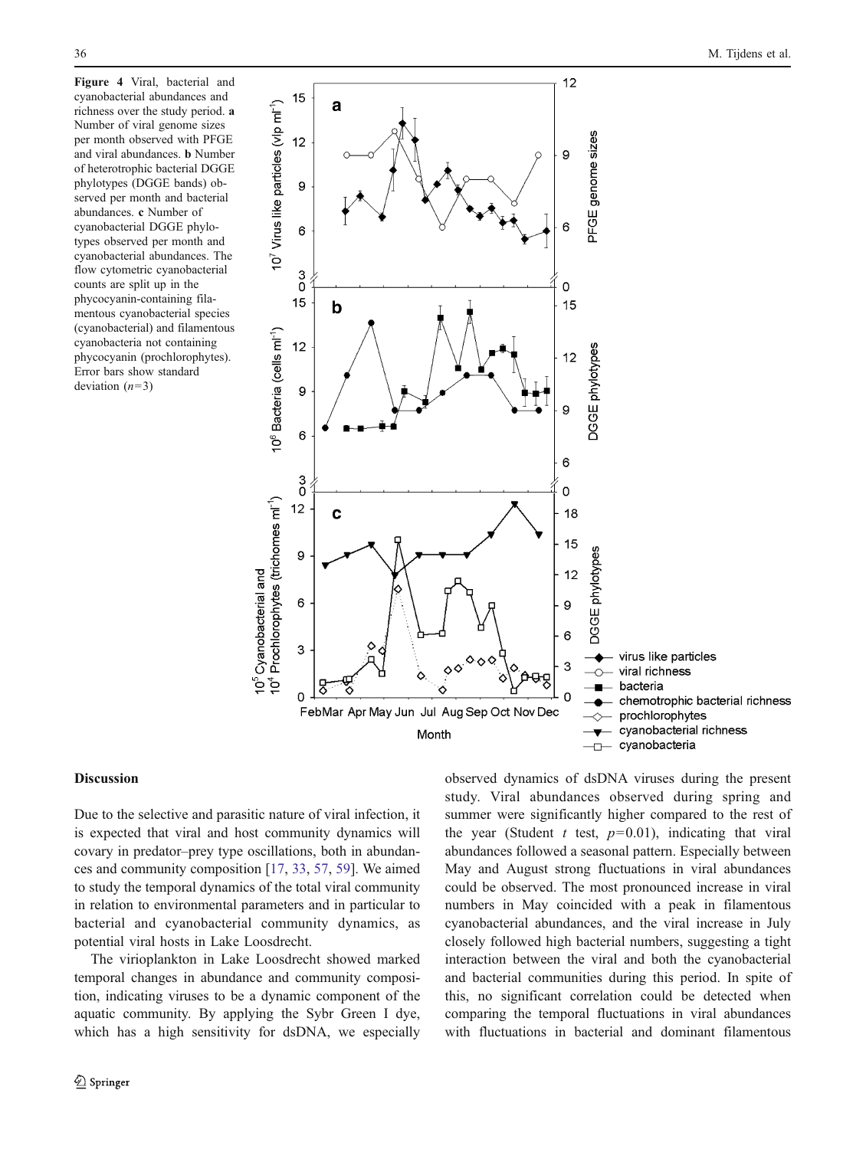<span id="page-7-0"></span>Figure 4 Viral, bacterial and cyanobacterial abundances and richness over the study period. a Number of viral genome sizes per month observed with PFGE and viral abundances. b Number of heterotrophic bacterial DGGE phylotypes (DGGE bands) observed per month and bacterial abundances. c Number of cyanobacterial DGGE phylotypes observed per month and cyanobacterial abundances. The flow cytometric cyanobacterial counts are split up in the phycocyanin-containing filamentous cyanobacterial species (cyanobacterial) and filamentous cyanobacteria not containing phycocyanin (prochlorophytes). Error bars show standard deviation  $(n=3)$ 



#### Discussion

Due to the selective and parasitic nature of viral infection, it is expected that viral and host community dynamics will covary in predator–prey type oscillations, both in abundances and community composition [[17,](#page-12-0) [33,](#page-12-0) [57,](#page-13-0) [59](#page-13-0)]. We aimed to study the temporal dynamics of the total viral community in relation to environmental parameters and in particular to bacterial and cyanobacterial community dynamics, as potential viral hosts in Lake Loosdrecht.

The virioplankton in Lake Loosdrecht showed marked temporal changes in abundance and community composition, indicating viruses to be a dynamic component of the aquatic community. By applying the Sybr Green I dye, which has a high sensitivity for dsDNA, we especially observed dynamics of dsDNA viruses during the present study. Viral abundances observed during spring and summer were significantly higher compared to the rest of the year (Student t test,  $p=0.01$ ), indicating that viral abundances followed a seasonal pattern. Especially between May and August strong fluctuations in viral abundances could be observed. The most pronounced increase in viral numbers in May coincided with a peak in filamentous cyanobacterial abundances, and the viral increase in July closely followed high bacterial numbers, suggesting a tight interaction between the viral and both the cyanobacterial and bacterial communities during this period. In spite of this, no significant correlation could be detected when comparing the temporal fluctuations in viral abundances with fluctuations in bacterial and dominant filamentous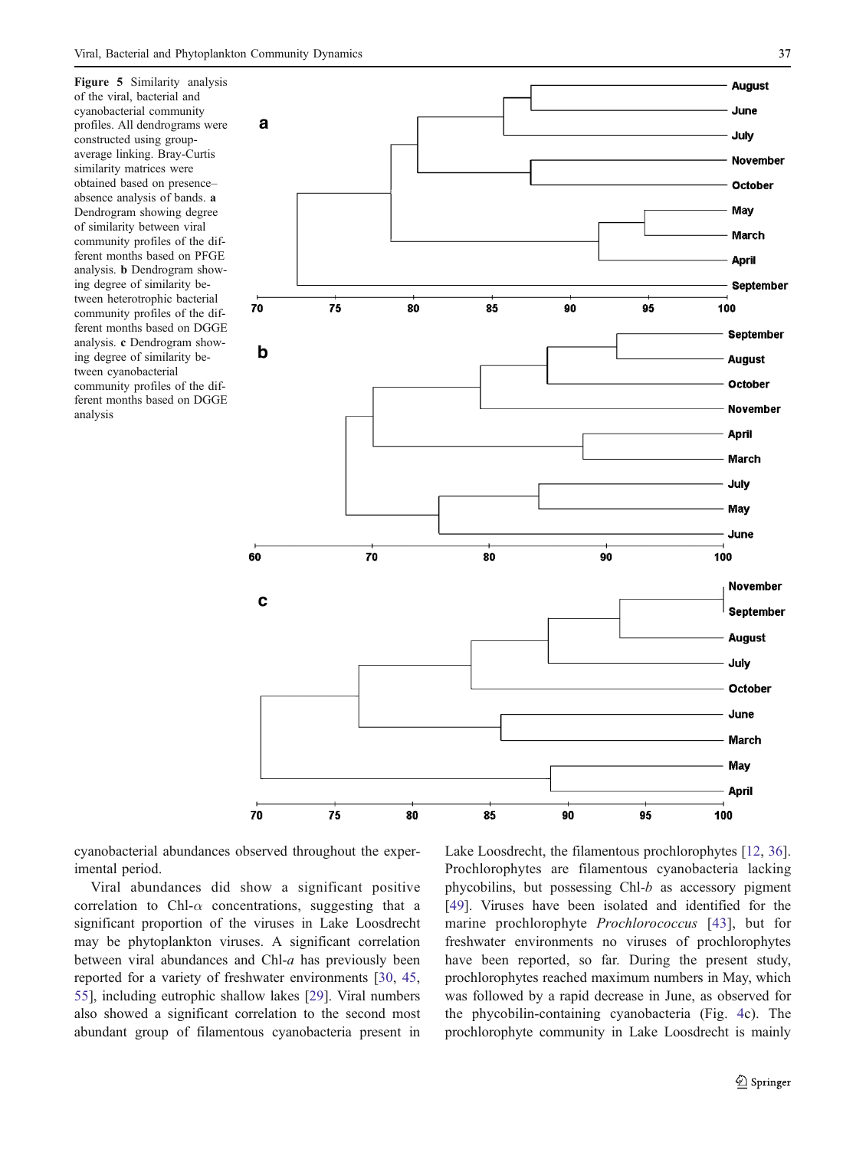<span id="page-8-0"></span>Figure 5 Similarity analysis of the viral, bacterial and cyanobacterial community profiles. All dendrograms were constructed using groupaverage linking. Bray-Curtis similarity matrices were obtained based on presence– absence analysis of bands. a Dendrogram showing degree of similarity between viral community profiles of the different months based on PFGE analysis. b Dendrogram showing degree of similarity between heterotrophic bacterial community profiles of the different months based on DGGE analysis. c Dendrogram showing degree of similarity be-

tween cyanobacterial community profiles of the different months based on DGGE analysis



cyanobacterial abundances observed throughout the experimental period.

Viral abundances did show a significant positive correlation to Chl- $\alpha$  concentrations, suggesting that a significant proportion of the viruses in Lake Loosdrecht may be phytoplankton viruses. A significant correlation between viral abundances and Chl- $a$  has previously been reported for a variety of freshwater environments [\[30](#page-12-0), [45,](#page-13-0) [55](#page-13-0)], including eutrophic shallow lakes [[29\]](#page-12-0). Viral numbers also showed a significant correlation to the second most abundant group of filamentous cyanobacteria present in Lake Loosdrecht, the filamentous prochlorophytes [\[12](#page-12-0), [36\]](#page-13-0). Prochlorophytes are filamentous cyanobacteria lacking phycobilins, but possessing Chl-b as accessory pigment [\[49](#page-13-0)]. Viruses have been isolated and identified for the marine prochlorophyte Prochlorococcus [[43](#page-13-0)], but for freshwater environments no viruses of prochlorophytes have been reported, so far. During the present study, prochlorophytes reached maximum numbers in May, which was followed by a rapid decrease in June, as observed for the phycobilin-containing cyanobacteria (Fig. [4](#page-7-0)c). The prochlorophyte community in Lake Loosdrecht is mainly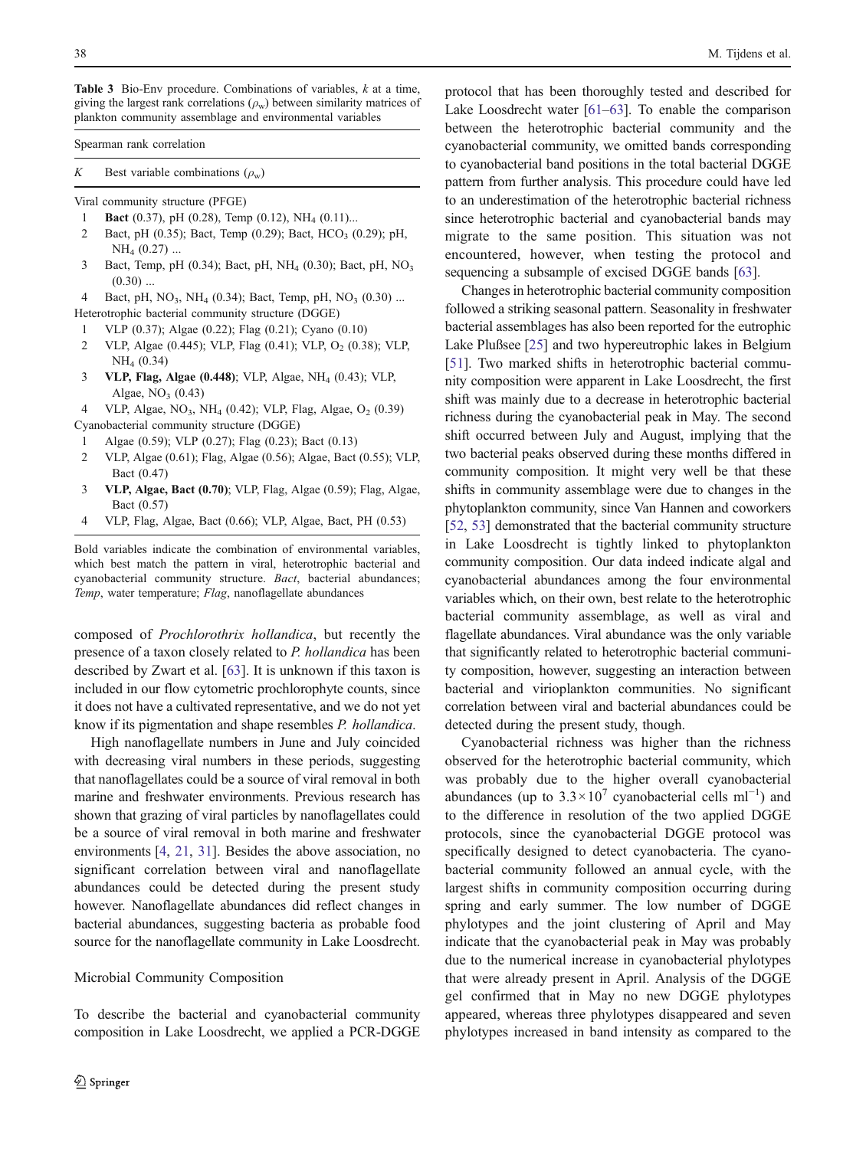<span id="page-9-0"></span>Table 3 Bio-Env procedure. Combinations of variables,  $k$  at a time, giving the largest rank correlations  $(\rho_w)$  between similarity matrices of plankton community assemblage and environmental variables

Spearman rank correlation

K Best variable combinations  $(\rho_w)$ 

Viral community structure (PFGE)

- 1 Bact (0.37), pH (0.28), Temp (0.12), NH<sub>4</sub> (0.11)...
- 2 Bact, pH  $(0.35)$ ; Bact, Temp  $(0.29)$ ; Bact, HCO<sub>3</sub>  $(0.29)$ ; pH,  $NH_{4}$  (0.27)  $\Box$
- 3 Bact, Temp, pH (0.34); Bact, pH, NH4 (0.30); Bact, pH, NO3  $(0.30)$  ...
- 4 Bact, pH, NO<sub>3</sub>, NH<sub>4</sub> (0.34); Bact, Temp, pH, NO<sub>3</sub> (0.30) ...
- Heterotrophic bacterial community structure (DGGE)
- 1 VLP (0.37); Algae (0.22); Flag (0.21); Cyano (0.10)
- 2 VLP, Algae (0.445); VLP, Flag (0.41); VLP, O<sub>2</sub> (0.38); VLP, NH4 (0.34)
- 3 VLP, Flag, Algae (0.448); VLP, Algae, NH4 (0.43); VLP, Algae,  $NO_3$  (0.43)

4 VLP, Algae,  $NO_3$ ,  $NH_4$  (0.42); VLP, Flag, Algae,  $O_2$  (0.39) Cyanobacterial community structure (DGGE)

- Algae (0.59); VLP (0.27); Flag (0.23); Bact (0.13)
- 2 VLP, Algae (0.61); Flag, Algae (0.56); Algae, Bact (0.55); VLP, Bact (0.47)
- 3 VLP, Algae, Bact (0.70); VLP, Flag, Algae (0.59); Flag, Algae, Bact (0.57)
- 4 VLP, Flag, Algae, Bact (0.66); VLP, Algae, Bact, PH (0.53)

Bold variables indicate the combination of environmental variables, which best match the pattern in viral, heterotrophic bacterial and cyanobacterial community structure. Bact, bacterial abundances; Temp, water temperature; Flag, nanoflagellate abundances

composed of Prochlorothrix hollandica, but recently the presence of a taxon closely related to P. hollandica has been described by Zwart et al. [[63\]](#page-13-0). It is unknown if this taxon is included in our flow cytometric prochlorophyte counts, since it does not have a cultivated representative, and we do not yet know if its pigmentation and shape resembles P. hollandica.

High nanoflagellate numbers in June and July coincided with decreasing viral numbers in these periods, suggesting that nanoflagellates could be a source of viral removal in both marine and freshwater environments. Previous research has shown that grazing of viral particles by nanoflagellates could be a source of viral removal in both marine and freshwater environments [[4,](#page-12-0) [21](#page-12-0), [31](#page-12-0)]. Besides the above association, no significant correlation between viral and nanoflagellate abundances could be detected during the present study however. Nanoflagellate abundances did reflect changes in bacterial abundances, suggesting bacteria as probable food source for the nanoflagellate community in Lake Loosdrecht.

## Microbial Community Composition

To describe the bacterial and cyanobacterial community composition in Lake Loosdrecht, we applied a PCR-DGGE protocol that has been thoroughly tested and described for Lake Loosdrecht water [[61](#page-13-0)–[63](#page-13-0)]. To enable the comparison between the heterotrophic bacterial community and the cyanobacterial community, we omitted bands corresponding to cyanobacterial band positions in the total bacterial DGGE pattern from further analysis. This procedure could have led to an underestimation of the heterotrophic bacterial richness since heterotrophic bacterial and cyanobacterial bands may migrate to the same position. This situation was not encountered, however, when testing the protocol and sequencing a subsample of excised DGGE bands [[63\]](#page-13-0).

Changes in heterotrophic bacterial community composition followed a striking seasonal pattern. Seasonality in freshwater bacterial assemblages has also been reported for the eutrophic Lake Plußsee [\[25\]](#page-12-0) and two hypereutrophic lakes in Belgium [\[51](#page-13-0)]. Two marked shifts in heterotrophic bacterial community composition were apparent in Lake Loosdrecht, the first shift was mainly due to a decrease in heterotrophic bacterial richness during the cyanobacterial peak in May. The second shift occurred between July and August, implying that the two bacterial peaks observed during these months differed in community composition. It might very well be that these shifts in community assemblage were due to changes in the phytoplankton community, since Van Hannen and coworkers [\[52](#page-13-0), [53](#page-13-0)] demonstrated that the bacterial community structure in Lake Loosdrecht is tightly linked to phytoplankton community composition. Our data indeed indicate algal and cyanobacterial abundances among the four environmental variables which, on their own, best relate to the heterotrophic bacterial community assemblage, as well as viral and flagellate abundances. Viral abundance was the only variable that significantly related to heterotrophic bacterial community composition, however, suggesting an interaction between bacterial and virioplankton communities. No significant correlation between viral and bacterial abundances could be detected during the present study, though.

Cyanobacterial richness was higher than the richness observed for the heterotrophic bacterial community, which was probably due to the higher overall cyanobacterial abundances (up to  $3.3 \times 10^7$  cyanobacterial cells ml<sup>-1</sup>) and to the difference in resolution of the two applied DGGE protocols, since the cyanobacterial DGGE protocol was specifically designed to detect cyanobacteria. The cyanobacterial community followed an annual cycle, with the largest shifts in community composition occurring during spring and early summer. The low number of DGGE phylotypes and the joint clustering of April and May indicate that the cyanobacterial peak in May was probably due to the numerical increase in cyanobacterial phylotypes that were already present in April. Analysis of the DGGE gel confirmed that in May no new DGGE phylotypes appeared, whereas three phylotypes disappeared and seven phylotypes increased in band intensity as compared to the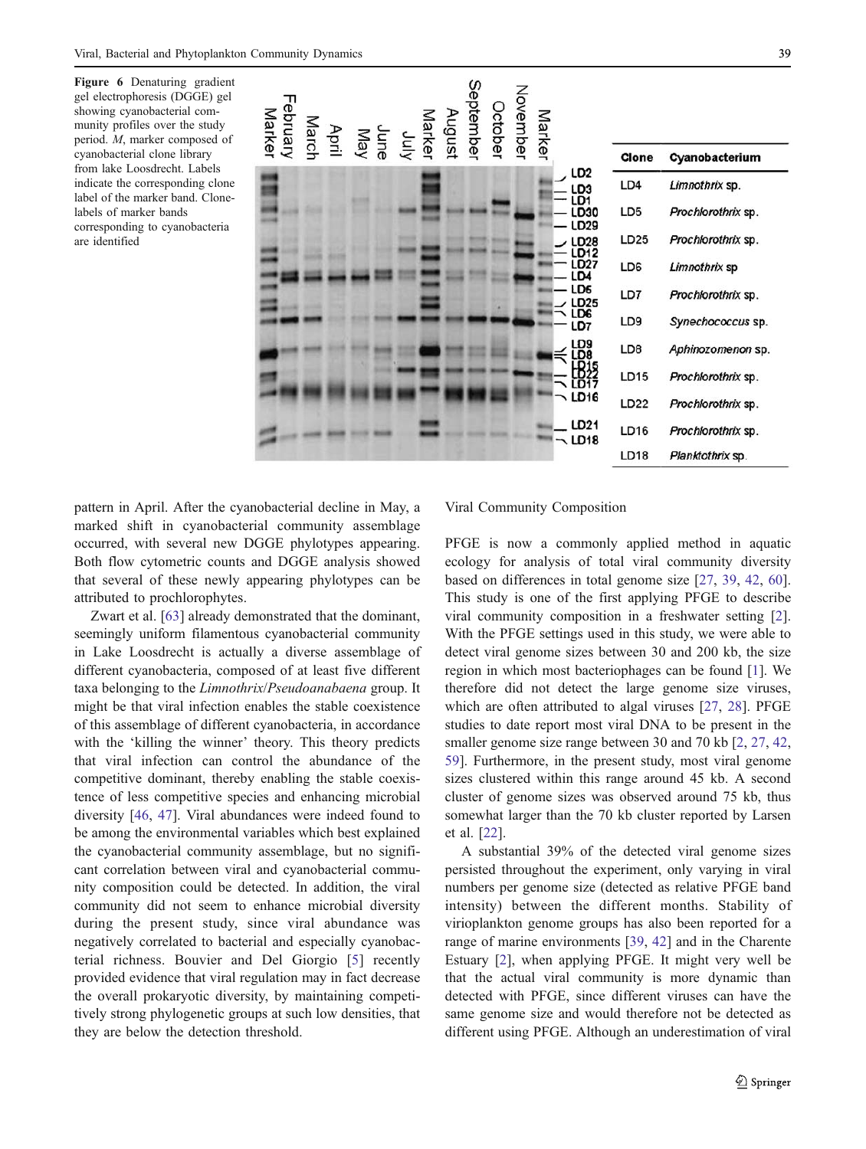<span id="page-10-0"></span>Figure 6 Denaturing gradient gel electrophoresis (DGGE) gel showing cyanobacterial community profiles over the study period. M, marker composed of cyanobacterial clone library from lake Loosdrecht. Labels indicate the corresponding clone label of the marker band. Clonelabels of marker bands corresponding to cyanobacteria are identified



pattern in April. After the cyanobacterial decline in May, a marked shift in cyanobacterial community assemblage occurred, with several new DGGE phylotypes appearing. Both flow cytometric counts and DGGE analysis showed that several of these newly appearing phylotypes can be attributed to prochlorophytes.

Zwart et al. [[63\]](#page-13-0) already demonstrated that the dominant, seemingly uniform filamentous cyanobacterial community in Lake Loosdrecht is actually a diverse assemblage of different cyanobacteria, composed of at least five different taxa belonging to the Limnothrix/Pseudoanabaena group. It might be that viral infection enables the stable coexistence of this assemblage of different cyanobacteria, in accordance with the 'killing the winner' theory. This theory predicts that viral infection can control the abundance of the competitive dominant, thereby enabling the stable coexistence of less competitive species and enhancing microbial diversity [\[46](#page-13-0), [47\]](#page-13-0). Viral abundances were indeed found to be among the environmental variables which best explained the cyanobacterial community assemblage, but no significant correlation between viral and cyanobacterial community composition could be detected. In addition, the viral community did not seem to enhance microbial diversity during the present study, since viral abundance was negatively correlated to bacterial and especially cyanobacterial richness. Bouvier and Del Giorgio [[5](#page-12-0)] recently provided evidence that viral regulation may in fact decrease the overall prokaryotic diversity, by maintaining competitively strong phylogenetic groups at such low densities, that they are below the detection threshold.

### Viral Community Composition

PFGE is now a commonly applied method in aquatic ecology for analysis of total viral community diversity based on differences in total genome size [[27,](#page-12-0) [39,](#page-13-0) [42,](#page-13-0) [60\]](#page-13-0). This study is one of the first applying PFGE to describe viral community composition in a freshwater setting [[2\]](#page-12-0). With the PFGE settings used in this study, we were able to detect viral genome sizes between 30 and 200 kb, the size region in which most bacteriophages can be found [\[1](#page-12-0)]. We therefore did not detect the large genome size viruses, which are often attributed to algal viruses [\[27](#page-12-0), [28\]](#page-12-0). PFGE studies to date report most viral DNA to be present in the smaller genome size range between 30 and 70 kb [[2,](#page-12-0) [27,](#page-12-0) [42,](#page-13-0) [59](#page-13-0)]. Furthermore, in the present study, most viral genome sizes clustered within this range around 45 kb. A second cluster of genome sizes was observed around 75 kb, thus somewhat larger than the 70 kb cluster reported by Larsen et al. [[22\]](#page-12-0).

A substantial 39% of the detected viral genome sizes persisted throughout the experiment, only varying in viral numbers per genome size (detected as relative PFGE band intensity) between the different months. Stability of virioplankton genome groups has also been reported for a range of marine environments [\[39](#page-13-0), [42\]](#page-13-0) and in the Charente Estuary [[2\]](#page-12-0), when applying PFGE. It might very well be that the actual viral community is more dynamic than detected with PFGE, since different viruses can have the same genome size and would therefore not be detected as different using PFGE. Although an underestimation of viral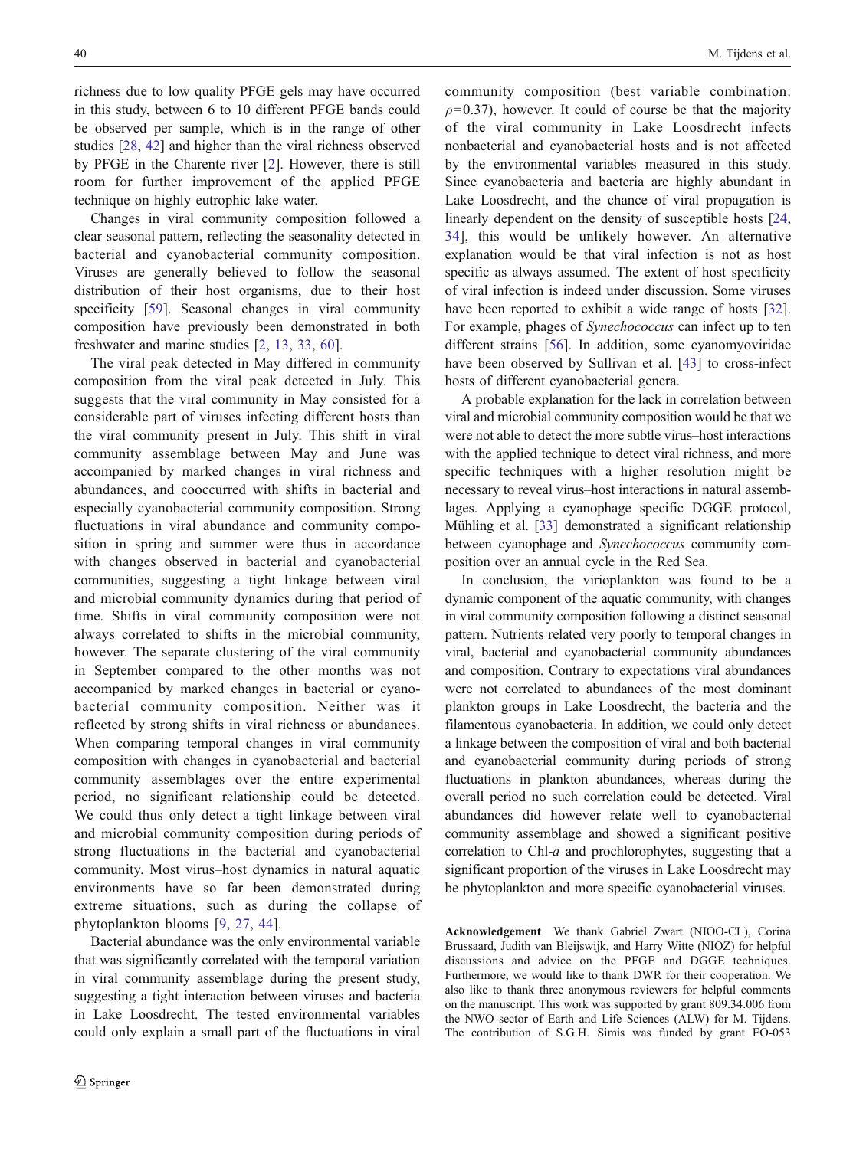richness due to low quality PFGE gels may have occurred in this study, between 6 to 10 different PFGE bands could be observed per sample, which is in the range of other studies [[28,](#page-12-0) [42](#page-13-0)] and higher than the viral richness observed by PFGE in the Charente river [\[2](#page-12-0)]. However, there is still room for further improvement of the applied PFGE technique on highly eutrophic lake water.

Changes in viral community composition followed a clear seasonal pattern, reflecting the seasonality detected in bacterial and cyanobacterial community composition. Viruses are generally believed to follow the seasonal distribution of their host organisms, due to their host specificity [\[59](#page-13-0)]. Seasonal changes in viral community composition have previously been demonstrated in both freshwater and marine studies [\[2](#page-12-0), [13,](#page-12-0) [33,](#page-12-0) [60](#page-13-0)].

The viral peak detected in May differed in community composition from the viral peak detected in July. This suggests that the viral community in May consisted for a considerable part of viruses infecting different hosts than the viral community present in July. This shift in viral community assemblage between May and June was accompanied by marked changes in viral richness and abundances, and cooccurred with shifts in bacterial and especially cyanobacterial community composition. Strong fluctuations in viral abundance and community composition in spring and summer were thus in accordance with changes observed in bacterial and cyanobacterial communities, suggesting a tight linkage between viral and microbial community dynamics during that period of time. Shifts in viral community composition were not always correlated to shifts in the microbial community, however. The separate clustering of the viral community in September compared to the other months was not accompanied by marked changes in bacterial or cyanobacterial community composition. Neither was it reflected by strong shifts in viral richness or abundances. When comparing temporal changes in viral community composition with changes in cyanobacterial and bacterial community assemblages over the entire experimental period, no significant relationship could be detected. We could thus only detect a tight linkage between viral and microbial community composition during periods of strong fluctuations in the bacterial and cyanobacterial community. Most virus–host dynamics in natural aquatic environments have so far been demonstrated during extreme situations, such as during the collapse of phytoplankton blooms [[9,](#page-12-0) [27,](#page-12-0) [44](#page-13-0)].

Bacterial abundance was the only environmental variable that was significantly correlated with the temporal variation in viral community assemblage during the present study, suggesting a tight interaction between viruses and bacteria in Lake Loosdrecht. The tested environmental variables could only explain a small part of the fluctuations in viral community composition (best variable combination:  $\rho$ =0.37), however. It could of course be that the majority of the viral community in Lake Loosdrecht infects nonbacterial and cyanobacterial hosts and is not affected by the environmental variables measured in this study. Since cyanobacteria and bacteria are highly abundant in Lake Loosdrecht, and the chance of viral propagation is linearly dependent on the density of susceptible hosts [[24,](#page-12-0) [34](#page-12-0)], this would be unlikely however. An alternative explanation would be that viral infection is not as host specific as always assumed. The extent of host specificity of viral infection is indeed under discussion. Some viruses have been reported to exhibit a wide range of hosts [[32\]](#page-12-0). For example, phages of Synechococcus can infect up to ten different strains [[56\]](#page-13-0). In addition, some cyanomyoviridae have been observed by Sullivan et al. [[43\]](#page-13-0) to cross-infect hosts of different cyanobacterial genera.

A probable explanation for the lack in correlation between viral and microbial community composition would be that we were not able to detect the more subtle virus–host interactions with the applied technique to detect viral richness, and more specific techniques with a higher resolution might be necessary to reveal virus–host interactions in natural assemblages. Applying a cyanophage specific DGGE protocol, Mühling et al. [[33\]](#page-12-0) demonstrated a significant relationship between cyanophage and Synechococcus community composition over an annual cycle in the Red Sea.

In conclusion, the virioplankton was found to be a dynamic component of the aquatic community, with changes in viral community composition following a distinct seasonal pattern. Nutrients related very poorly to temporal changes in viral, bacterial and cyanobacterial community abundances and composition. Contrary to expectations viral abundances were not correlated to abundances of the most dominant plankton groups in Lake Loosdrecht, the bacteria and the filamentous cyanobacteria. In addition, we could only detect a linkage between the composition of viral and both bacterial and cyanobacterial community during periods of strong fluctuations in plankton abundances, whereas during the overall period no such correlation could be detected. Viral abundances did however relate well to cyanobacterial community assemblage and showed a significant positive correlation to Chl-a and prochlorophytes, suggesting that a significant proportion of the viruses in Lake Loosdrecht may be phytoplankton and more specific cyanobacterial viruses.

Acknowledgement We thank Gabriel Zwart (NIOO-CL), Corina Brussaard, Judith van Bleijswijk, and Harry Witte (NIOZ) for helpful discussions and advice on the PFGE and DGGE techniques. Furthermore, we would like to thank DWR for their cooperation. We also like to thank three anonymous reviewers for helpful comments on the manuscript. This work was supported by grant 809.34.006 from the NWO sector of Earth and Life Sciences (ALW) for M. Tijdens. The contribution of S.G.H. Simis was funded by grant EO-053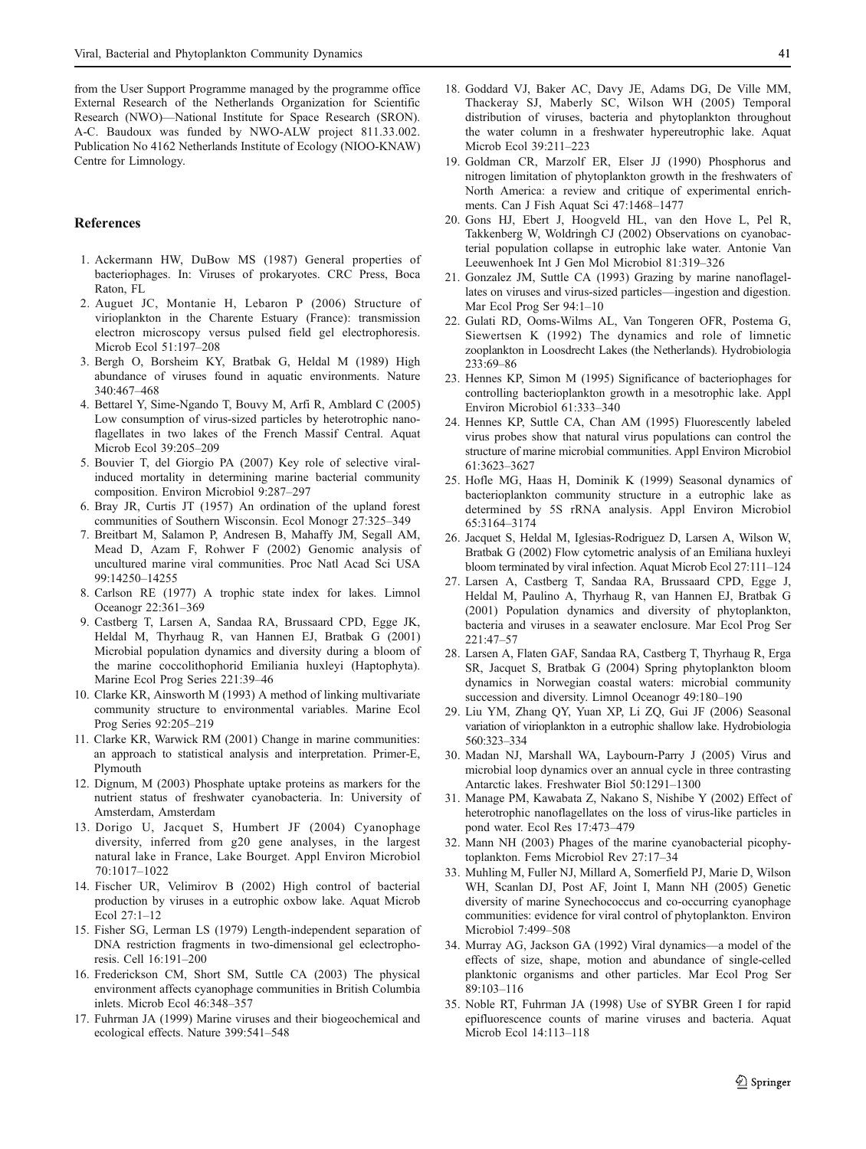<span id="page-12-0"></span>from the User Support Programme managed by the programme office External Research of the Netherlands Organization for Scientific Research (NWO)—National Institute for Space Research (SRON). A-C. Baudoux was funded by NWO-ALW project 811.33.002. Publication No 4162 Netherlands Institute of Ecology (NIOO-KNAW) Centre for Limnology.

# References

- 1. Ackermann HW, DuBow MS (1987) General properties of bacteriophages. In: Viruses of prokaryotes. CRC Press, Boca Raton, FL
- 2. Auguet JC, Montanie H, Lebaron P (2006) Structure of virioplankton in the Charente Estuary (France): transmission electron microscopy versus pulsed field gel electrophoresis. Microb Ecol 51:197–208
- 3. Bergh O, Borsheim KY, Bratbak G, Heldal M (1989) High abundance of viruses found in aquatic environments. Nature 340:467–468
- 4. Bettarel Y, Sime-Ngando T, Bouvy M, Arfi R, Amblard C (2005) Low consumption of virus-sized particles by heterotrophic nanoflagellates in two lakes of the French Massif Central. Aquat Microb Ecol 39:205–209
- 5. Bouvier T, del Giorgio PA (2007) Key role of selective viralinduced mortality in determining marine bacterial community composition. Environ Microbiol 9:287–297
- 6. Bray JR, Curtis JT (1957) An ordination of the upland forest communities of Southern Wisconsin. Ecol Monogr 27:325–349
- 7. Breitbart M, Salamon P, Andresen B, Mahaffy JM, Segall AM, Mead D, Azam F, Rohwer F (2002) Genomic analysis of uncultured marine viral communities. Proc Natl Acad Sci USA 99:14250–14255
- 8. Carlson RE (1977) A trophic state index for lakes. Limnol Oceanogr 22:361–369
- 9. Castberg T, Larsen A, Sandaa RA, Brussaard CPD, Egge JK, Heldal M, Thyrhaug R, van Hannen EJ, Bratbak G (2001) Microbial population dynamics and diversity during a bloom of the marine coccolithophorid Emiliania huxleyi (Haptophyta). Marine Ecol Prog Series 221:39–46
- 10. Clarke KR, Ainsworth M (1993) A method of linking multivariate community structure to environmental variables. Marine Ecol Prog Series 92:205–219
- 11. Clarke KR, Warwick RM (2001) Change in marine communities: an approach to statistical analysis and interpretation. Primer-E, Plymouth
- 12. Dignum, M (2003) Phosphate uptake proteins as markers for the nutrient status of freshwater cyanobacteria. In: University of Amsterdam, Amsterdam
- 13. Dorigo U, Jacquet S, Humbert JF (2004) Cyanophage diversity, inferred from g20 gene analyses, in the largest natural lake in France, Lake Bourget. Appl Environ Microbiol 70:1017–1022
- 14. Fischer UR, Velimirov B (2002) High control of bacterial production by viruses in a eutrophic oxbow lake. Aquat Microb Ecol 27:1–12
- 15. Fisher SG, Lerman LS (1979) Length-independent separation of DNA restriction fragments in two-dimensional gel eclectrophoresis. Cell 16:191–200
- 16. Frederickson CM, Short SM, Suttle CA (2003) The physical environment affects cyanophage communities in British Columbia inlets. Microb Ecol 46:348–357
- 17. Fuhrman JA (1999) Marine viruses and their biogeochemical and ecological effects. Nature 399:541–548
- 18. Goddard VJ, Baker AC, Davy JE, Adams DG, De Ville MM, Thackeray SJ, Maberly SC, Wilson WH (2005) Temporal distribution of viruses, bacteria and phytoplankton throughout the water column in a freshwater hypereutrophic lake. Aquat Microb Ecol 39:211–223
- 19. Goldman CR, Marzolf ER, Elser JJ (1990) Phosphorus and nitrogen limitation of phytoplankton growth in the freshwaters of North America: a review and critique of experimental enrichments. Can J Fish Aquat Sci 47:1468–1477
- 20. Gons HJ, Ebert J, Hoogveld HL, van den Hove L, Pel R, Takkenberg W, Woldringh CJ (2002) Observations on cyanobacterial population collapse in eutrophic lake water. Antonie Van Leeuwenhoek Int J Gen Mol Microbiol 81:319–326
- 21. Gonzalez JM, Suttle CA (1993) Grazing by marine nanoflagellates on viruses and virus-sized particles—ingestion and digestion. Mar Ecol Prog Ser 94:1–10
- 22. Gulati RD, Ooms-Wilms AL, Van Tongeren OFR, Postema G, Siewertsen K (1992) The dynamics and role of limnetic zooplankton in Loosdrecht Lakes (the Netherlands). Hydrobiologia 233:69–86
- 23. Hennes KP, Simon M (1995) Significance of bacteriophages for controlling bacterioplankton growth in a mesotrophic lake. Appl Environ Microbiol 61:333–340
- 24. Hennes KP, Suttle CA, Chan AM (1995) Fluorescently labeled virus probes show that natural virus populations can control the structure of marine microbial communities. Appl Environ Microbiol 61:3623–3627
- 25. Hofle MG, Haas H, Dominik K (1999) Seasonal dynamics of bacterioplankton community structure in a eutrophic lake as determined by 5S rRNA analysis. Appl Environ Microbiol 65:3164–3174
- 26. Jacquet S, Heldal M, Iglesias-Rodriguez D, Larsen A, Wilson W, Bratbak G (2002) Flow cytometric analysis of an Emiliana huxleyi bloom terminated by viral infection. Aquat Microb Ecol 27:111–124
- 27. Larsen A, Castberg T, Sandaa RA, Brussaard CPD, Egge J, Heldal M, Paulino A, Thyrhaug R, van Hannen EJ, Bratbak G (2001) Population dynamics and diversity of phytoplankton, bacteria and viruses in a seawater enclosure. Mar Ecol Prog Ser 221:47–57
- 28. Larsen A, Flaten GAF, Sandaa RA, Castberg T, Thyrhaug R, Erga SR, Jacquet S, Bratbak G (2004) Spring phytoplankton bloom dynamics in Norwegian coastal waters: microbial community succession and diversity. Limnol Oceanogr 49:180–190
- 29. Liu YM, Zhang QY, Yuan XP, Li ZQ, Gui JF (2006) Seasonal variation of virioplankton in a eutrophic shallow lake. Hydrobiologia 560:323–334
- 30. Madan NJ, Marshall WA, Laybourn-Parry J (2005) Virus and microbial loop dynamics over an annual cycle in three contrasting Antarctic lakes. Freshwater Biol 50:1291–1300
- 31. Manage PM, Kawabata Z, Nakano S, Nishibe Y (2002) Effect of heterotrophic nanoflagellates on the loss of virus-like particles in pond water. Ecol Res 17:473–479
- 32. Mann NH (2003) Phages of the marine cyanobacterial picophytoplankton. Fems Microbiol Rev 27:17–34
- 33. Muhling M, Fuller NJ, Millard A, Somerfield PJ, Marie D, Wilson WH, Scanlan DJ, Post AF, Joint I, Mann NH (2005) Genetic diversity of marine Synechococcus and co-occurring cyanophage communities: evidence for viral control of phytoplankton. Environ Microbiol 7:499–508
- 34. Murray AG, Jackson GA (1992) Viral dynamics—a model of the effects of size, shape, motion and abundance of single-celled planktonic organisms and other particles. Mar Ecol Prog Ser 89:103–116
- 35. Noble RT, Fuhrman JA (1998) Use of SYBR Green I for rapid epifluorescence counts of marine viruses and bacteria. Aquat Microb Ecol 14:113–118